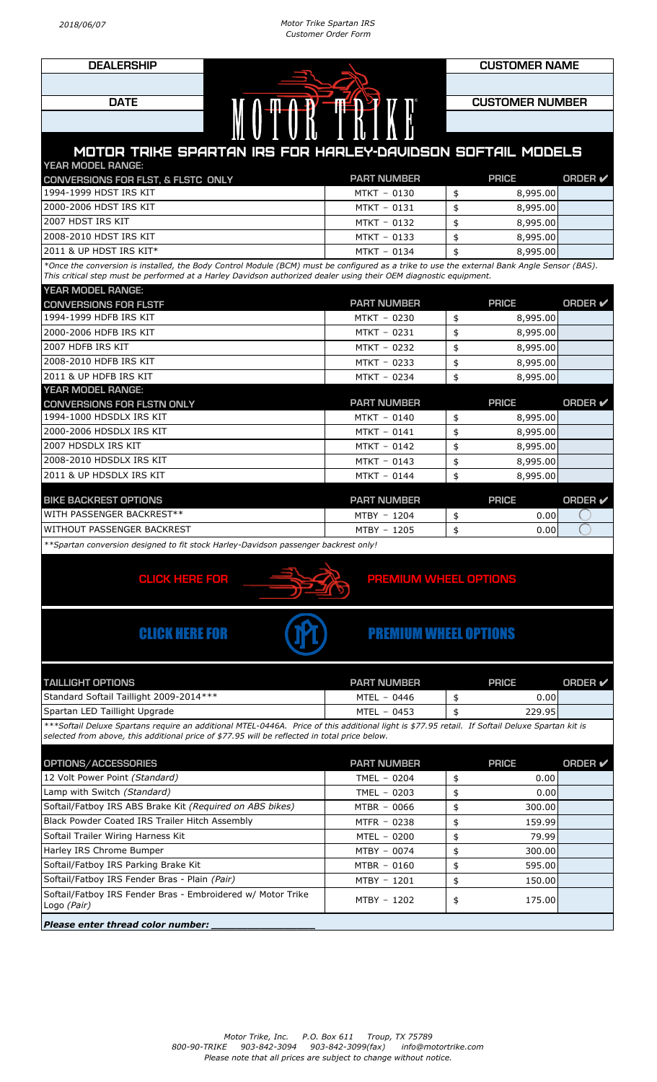

## MOTOR TRIKE SPARTAN IRS FOR HARLEY-DAVIDSON SOFTAIL MODELS YEAR MODEL RANGE:

| <b>CONVERSIONS FOR FLST, &amp; FLSTC ONLY</b> | <b>PART NUMBER</b> | <b>PRICE</b> | ORDER $\boldsymbol{\nu}$ |
|-----------------------------------------------|--------------------|--------------|--------------------------|
| 1994-1999 HDST IRS KIT                        | MTKT - 0130        | 8,995.00     |                          |
| 2000-2006 HDST IRS KIT                        | MTKT - 0131        | 8,995.00     |                          |
| 12007 HDST IRS KIT                            | MTKT - 0132        | 8,995.00     |                          |
| 2008-2010 HDST IRS KIT                        | MTKT - 0133        | 8,995,00     |                          |
| $12011$ & UP HDST IRS KIT* $\,$               | MTKT - 0134        | 8,995.00     |                          |

*\*Once the conversion is installed, the Body Control Module (BCM) must be configured as a trike to use the external Bank Angle Sensor (BAS). This critical step must be performed at a Harley Davidson authorized dealer using their OEM diagnostic equipment.*

| YEAR MODEL RANGE: |  |  |
|-------------------|--|--|

| <b>CONVERSIONS FOR FLSTF</b>                                                        | <b>PART NUMBER</b> | <b>PRICE</b>            | ORDER $\checkmark$ |
|-------------------------------------------------------------------------------------|--------------------|-------------------------|--------------------|
| 1994-1999 HDFB IRS KIT                                                              | MTKT - 0230        | \$<br>8,995.00          |                    |
| 2000-2006 HDFB IRS KIT                                                              | MTKT - 0231        | \$<br>8,995.00          |                    |
| 2007 HDFB IRS KIT                                                                   | MTKT - 0232        | \$<br>8,995.00          |                    |
| 2008-2010 HDFB IRS KIT                                                              | MTKT - 0233        | \$<br>8,995.00          |                    |
| 2011 & UP HDFB IRS KIT                                                              | MTKT - 0234        | \$<br>8,995.00          |                    |
| <b>YEAR MODEL RANGE:</b>                                                            |                    |                         |                    |
| <b>CONVERSIONS FOR FLSTN ONLY</b>                                                   | <b>PART NUMBER</b> | <b>PRICE</b>            | ORDER $\checkmark$ |
| 1994-1000 HDSDLX IRS KIT                                                            | MTKT - 0140        | \$<br>8,995.00          |                    |
| 2000-2006 HDSDLX IRS KIT                                                            | MTKT - 0141        | \$<br>8,995.00          |                    |
| 2007 HDSDLX IRS KIT                                                                 | MTKT - 0142        | \$<br>8,995.00          |                    |
| 2008-2010 HDSDLX IRS KIT                                                            | MTKT - 0143        | \$<br>8,995.00          |                    |
| 2011 & UP HDSDLX IRS KIT                                                            | MTKT - 0144        | \$<br>8,995.00          |                    |
|                                                                                     |                    |                         |                    |
| <b>BIKE BACKREST OPTIONS</b>                                                        | <b>PART NUMBER</b> | <b>PRICE</b>            | ORDER $\checkmark$ |
| WITH PASSENGER BACKREST**                                                           | MTBY - 1204        | \$<br>0.00 <sub>l</sub> |                    |
| WITHOUT PASSENGER BACKREST                                                          | MTBY - 1205        | \$<br>0.00              |                    |
| **Spartan conversion designed to fit stock Harley-Davidson passenger backrest only! |                    |                         |                    |



## CLICK HERE FOR **PREMIUM WHEEL OPTION**

## CLICK HERE FOR **CLICK HERE FOR [PREMIUM WHEEL OPTIONS](http://motortrike.com/docs/PERFORMANCE-MACHINE_TORQUE-THRUST.pdf)**

| <b>TAILLIGHT OPTIONS</b>                | <b>PART NUMBER</b> | <b>PRICE</b>      | <b>ORDER &amp;</b> |
|-----------------------------------------|--------------------|-------------------|--------------------|
| Standard Softail Taillight 2009-2014*** | MTEL - 0446        | 0.00 <sub>l</sub> |                    |
| Spartan LED Taillight Upgrade           | $MTEL - 0453$      | 229.95            |                    |

*\*\*\*Softail Deluxe Spartans require an additional MTEL-0446A. Price of this additional light is \$77.95 retail. If Softail Deluxe Spartan kit is selected from above, this additional price of \$77.95 will be reflected in total price below.*

| OPTIONS/ACCESSORIES                                                        | <b>PART NUMBER</b> |     | <b>PRICE</b> | <b>ORDER</b> ✔ |
|----------------------------------------------------------------------------|--------------------|-----|--------------|----------------|
| 12 Volt Power Point (Standard)                                             | TMEL $-0204$       | \$  | 0.00         |                |
| Lamp with Switch (Standard)                                                | TMEL $-0203$       | \$  | 0.00         |                |
| Softail/Fatboy IRS ABS Brake Kit (Required on ABS bikes)                   | MTBR - 0066        | SS. | 300.00       |                |
| Black Powder Coated IRS Trailer Hitch Assembly                             | MTFR - 0238        | \$  | 159.99       |                |
| Softail Trailer Wiring Harness Kit                                         | MTEL - 0200        | \$  | 79.99        |                |
| Harley IRS Chrome Bumper                                                   | MTBY - 0074        |     | 300.00       |                |
| Softail/Fatboy IRS Parking Brake Kit                                       | MTBR - 0160        | S   | 595.00       |                |
| Softail/Fatboy IRS Fender Bras - Plain (Pair)                              | MTBY - 1201        | \$  | 150.00       |                |
| Softail/Fatboy IRS Fender Bras - Embroidered w/ Motor Trike<br>Logo (Pair) | MTBY - 1202        | \$  | 175.00       |                |
| Diongo ontou thugod color number                                           |                    |     |              |                |

*Please enter thread color number.*